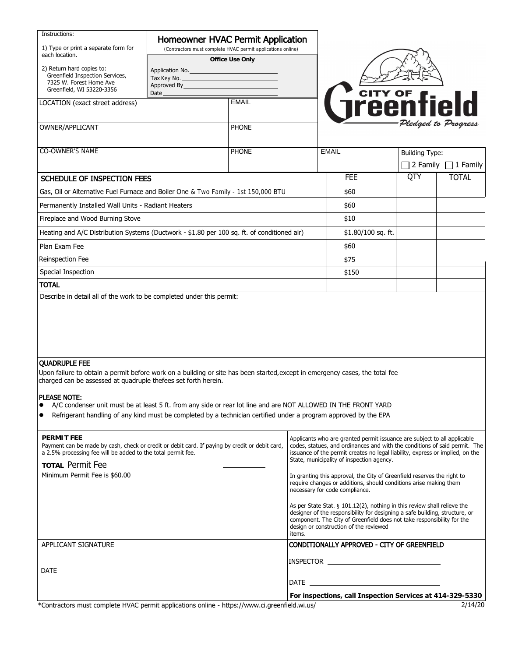| Instructions:<br>1) Type or print a separate form for                                                                                                                                                                                                                                    | Homeowner HVAC Permit Application<br>(Contractors must complete HVAC permit applications online) |                  |                                                                                                                                                                                                                                                                                      |                                                                                                                                                                                |                       |                          |  |
|------------------------------------------------------------------------------------------------------------------------------------------------------------------------------------------------------------------------------------------------------------------------------------------|--------------------------------------------------------------------------------------------------|------------------|--------------------------------------------------------------------------------------------------------------------------------------------------------------------------------------------------------------------------------------------------------------------------------------|--------------------------------------------------------------------------------------------------------------------------------------------------------------------------------|-----------------------|--------------------------|--|
| each location.<br>2) Return hard copies to:                                                                                                                                                                                                                                              | Office Use Only<br>Application No.                                                               |                  |                                                                                                                                                                                                                                                                                      |                                                                                                                                                                                |                       |                          |  |
| Greenfield Inspection Services,<br>7325 W. Forest Home Ave                                                                                                                                                                                                                               | Approved By <b>Approved</b> By                                                                   | Tax Key No. 2008 |                                                                                                                                                                                                                                                                                      |                                                                                                                                                                                |                       |                          |  |
| Greenfield, WI 53220-3356                                                                                                                                                                                                                                                                | Date                                                                                             |                  |                                                                                                                                                                                                                                                                                      |                                                                                                                                                                                |                       |                          |  |
| LOCATION (exact street address)                                                                                                                                                                                                                                                          |                                                                                                  | <b>EMAIL</b>     |                                                                                                                                                                                                                                                                                      | <b>THE STATE</b>                                                                                                                                                               |                       |                          |  |
|                                                                                                                                                                                                                                                                                          |                                                                                                  |                  |                                                                                                                                                                                                                                                                                      |                                                                                                                                                                                |                       | Pledged to Progress      |  |
| OWNER/APPLICANT                                                                                                                                                                                                                                                                          |                                                                                                  | <b>PHONE</b>     |                                                                                                                                                                                                                                                                                      |                                                                                                                                                                                |                       |                          |  |
| <b>CO-OWNER'S NAME</b>                                                                                                                                                                                                                                                                   |                                                                                                  | <b>PHONE</b>     |                                                                                                                                                                                                                                                                                      | <b>EMAIL</b>                                                                                                                                                                   | <b>Building Type:</b> |                          |  |
|                                                                                                                                                                                                                                                                                          |                                                                                                  |                  |                                                                                                                                                                                                                                                                                      |                                                                                                                                                                                |                       | 2 Family $\Box$ 1 Family |  |
| SCHEDULE OF INSPECTION FEES                                                                                                                                                                                                                                                              |                                                                                                  |                  |                                                                                                                                                                                                                                                                                      | <b>FEE</b>                                                                                                                                                                     | QTY                   | <b>TOTAL</b>             |  |
| Gas, Oil or Alternative Fuel Furnace and Boiler One & Two Family - 1st 150,000 BTU                                                                                                                                                                                                       |                                                                                                  |                  |                                                                                                                                                                                                                                                                                      | \$60                                                                                                                                                                           |                       |                          |  |
| Permanently Installed Wall Units - Radiant Heaters                                                                                                                                                                                                                                       |                                                                                                  |                  |                                                                                                                                                                                                                                                                                      | \$60                                                                                                                                                                           |                       |                          |  |
| Fireplace and Wood Burning Stove                                                                                                                                                                                                                                                         |                                                                                                  |                  |                                                                                                                                                                                                                                                                                      | \$10                                                                                                                                                                           |                       |                          |  |
| Heating and A/C Distribution Systems (Ductwork - \$1.80 per 100 sq. ft. of conditioned air)                                                                                                                                                                                              |                                                                                                  |                  |                                                                                                                                                                                                                                                                                      | $$1.80/100$ sq. ft.                                                                                                                                                            |                       |                          |  |
| Plan Exam Fee                                                                                                                                                                                                                                                                            |                                                                                                  |                  |                                                                                                                                                                                                                                                                                      | \$60                                                                                                                                                                           |                       |                          |  |
| Reinspection Fee                                                                                                                                                                                                                                                                         |                                                                                                  |                  |                                                                                                                                                                                                                                                                                      | \$75                                                                                                                                                                           |                       |                          |  |
| Special Inspection                                                                                                                                                                                                                                                                       |                                                                                                  |                  |                                                                                                                                                                                                                                                                                      | \$150                                                                                                                                                                          |                       |                          |  |
| <b>TOTAL</b>                                                                                                                                                                                                                                                                             |                                                                                                  |                  |                                                                                                                                                                                                                                                                                      |                                                                                                                                                                                |                       |                          |  |
| Describe in detail all of the work to be completed under this permit:                                                                                                                                                                                                                    |                                                                                                  |                  |                                                                                                                                                                                                                                                                                      |                                                                                                                                                                                |                       |                          |  |
|                                                                                                                                                                                                                                                                                          |                                                                                                  |                  |                                                                                                                                                                                                                                                                                      |                                                                                                                                                                                |                       |                          |  |
| <b>QUADRUPLE FEE</b>                                                                                                                                                                                                                                                                     |                                                                                                  |                  |                                                                                                                                                                                                                                                                                      |                                                                                                                                                                                |                       |                          |  |
| Upon failure to obtain a permit before work on a building or site has been started, except in emergency cases, the total fee<br>charged can be assessed at quadruple thefees set forth herein.                                                                                           |                                                                                                  |                  |                                                                                                                                                                                                                                                                                      |                                                                                                                                                                                |                       |                          |  |
| PLEASE NOTE:                                                                                                                                                                                                                                                                             |                                                                                                  |                  |                                                                                                                                                                                                                                                                                      |                                                                                                                                                                                |                       |                          |  |
| A/C condenser unit must be at least 5 ft. from any side or rear lot line and are NOT ALLOWED IN THE FRONT YARD<br>$\bullet$<br>Refrigerant handling of any kind must be completed by a technician certified under a program approved by the EPA<br>$\bullet$                             |                                                                                                  |                  |                                                                                                                                                                                                                                                                                      |                                                                                                                                                                                |                       |                          |  |
| <b>PERMIT FEE</b><br>Payment can be made by cash, check or credit or debit card. If paying by credit or debit card,<br>a 2.5% processing fee will be added to the total permit fee.<br><b>TOTAL Permit Fee</b>                                                                           |                                                                                                  |                  | Applicants who are granted permit issuance are subject to all applicable<br>codes, statues, and ordinances and with the conditions of said permit. The<br>issuance of the permit creates no legal liability, express or implied, on the<br>State, municipality of inspection agency. |                                                                                                                                                                                |                       |                          |  |
| Minimum Permit Fee is \$60.00                                                                                                                                                                                                                                                            |                                                                                                  |                  |                                                                                                                                                                                                                                                                                      | In granting this approval, the City of Greenfield reserves the right to<br>require changes or additions, should conditions arise making them<br>necessary for code compliance. |                       |                          |  |
| As per State Stat. $\S$ 101.12(2), nothing in this review shall relieve the<br>designer of the responsibility for designing a safe building, structure, or<br>component. The City of Greenfield does not take responsibility for the<br>design or construction of the reviewed<br>items. |                                                                                                  |                  |                                                                                                                                                                                                                                                                                      |                                                                                                                                                                                |                       |                          |  |
| APPLICANT SIGNATURE                                                                                                                                                                                                                                                                      |                                                                                                  |                  |                                                                                                                                                                                                                                                                                      | CONDITIONALLY APPROVED - CITY OF GREENFIELD                                                                                                                                    |                       |                          |  |
| <b>DATE</b>                                                                                                                                                                                                                                                                              |                                                                                                  |                  |                                                                                                                                                                                                                                                                                      |                                                                                                                                                                                |                       |                          |  |
|                                                                                                                                                                                                                                                                                          |                                                                                                  |                  | DATE <b>DATE</b>                                                                                                                                                                                                                                                                     |                                                                                                                                                                                |                       |                          |  |
| *Contractors must complete HVAC permit applications online - https://www.ci.greenfield.wi.us/                                                                                                                                                                                            |                                                                                                  |                  | For inspections, call Inspection Services at 414-329-5330<br>2/14/20                                                                                                                                                                                                                 |                                                                                                                                                                                |                       |                          |  |
|                                                                                                                                                                                                                                                                                          |                                                                                                  |                  |                                                                                                                                                                                                                                                                                      |                                                                                                                                                                                |                       |                          |  |